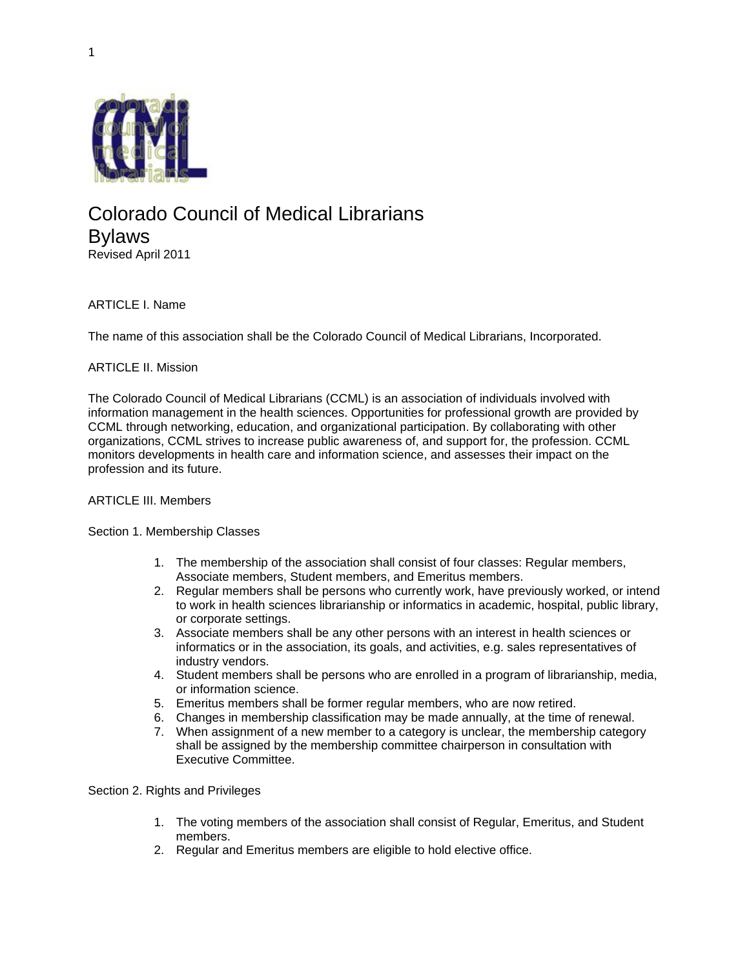

# Colorado Council of Medical Librarians Bylaws Revised April 2011

# ARTICLE I. Name

The name of this association shall be the Colorado Council of Medical Librarians, Incorporated.

## ARTICLE II. Mission

The Colorado Council of Medical Librarians (CCML) is an association of individuals involved with information management in the health sciences. Opportunities for professional growth are provided by CCML through networking, education, and organizational participation. By collaborating with other organizations, CCML strives to increase public awareness of, and support for, the profession. CCML monitors developments in health care and information science, and assesses their impact on the profession and its future.

## ARTICLE III. Members

#### Section 1. Membership Classes

- 1. The membership of the association shall consist of four classes: Regular members, Associate members, Student members, and Emeritus members.
- 2. Regular members shall be persons who currently work, have previously worked, or intend to work in health sciences librarianship or informatics in academic, hospital, public library, or corporate settings.
- 3. Associate members shall be any other persons with an interest in health sciences or informatics or in the association, its goals, and activities, e.g. sales representatives of industry vendors.
- 4. Student members shall be persons who are enrolled in a program of librarianship, media, or information science.
- 5. Emeritus members shall be former regular members, who are now retired.
- 6. Changes in membership classification may be made annually, at the time of renewal.
- 7. When assignment of a new member to a category is unclear, the membership category shall be assigned by the membership committee chairperson in consultation with Executive Committee.

## Section 2. Rights and Privileges

- 1. The voting members of the association shall consist of Regular, Emeritus, and Student members.
- 2. Regular and Emeritus members are eligible to hold elective office.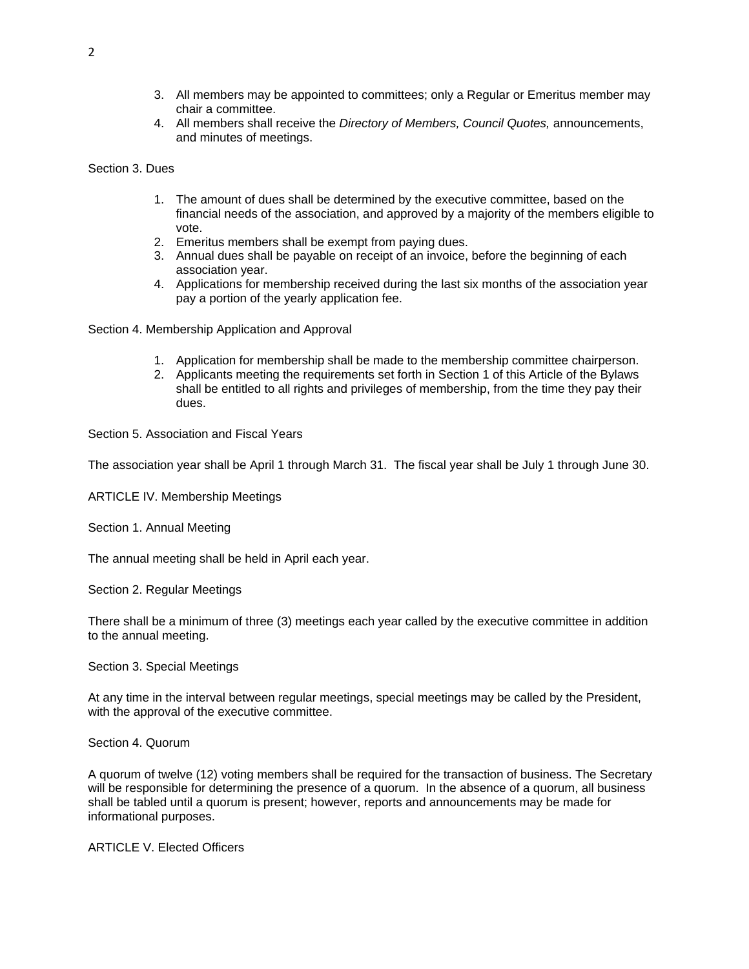- 3. All members may be appointed to committees; only a Regular or Emeritus member may chair a committee.
- 4. All members shall receive the *Directory of Members, Council Quotes,* announcements, and minutes of meetings.

Section 3. Dues

- 1. The amount of dues shall be determined by the executive committee, based on the financial needs of the association, and approved by a majority of the members eligible to vote.
- 2. Emeritus members shall be exempt from paying dues.
- 3. Annual dues shall be payable on receipt of an invoice, before the beginning of each association year.
- 4. Applications for membership received during the last six months of the association year pay a portion of the yearly application fee.

Section 4. Membership Application and Approval

- 1. Application for membership shall be made to the membership committee chairperson.
- 2. Applicants meeting the requirements set forth in Section 1 of this Article of the Bylaws shall be entitled to all rights and privileges of membership, from the time they pay their dues.

Section 5. Association and Fiscal Years

The association year shall be April 1 through March 31. The fiscal year shall be July 1 through June 30.

ARTICLE IV. Membership Meetings

Section 1. Annual Meeting

The annual meeting shall be held in April each year.

Section 2. Regular Meetings

There shall be a minimum of three (3) meetings each year called by the executive committee in addition to the annual meeting.

Section 3. Special Meetings

At any time in the interval between regular meetings, special meetings may be called by the President, with the approval of the executive committee.

Section 4. Quorum

A quorum of twelve (12) voting members shall be required for the transaction of business. The Secretary will be responsible for determining the presence of a quorum. In the absence of a quorum, all business shall be tabled until a quorum is present; however, reports and announcements may be made for informational purposes.

ARTICLE V. Elected Officers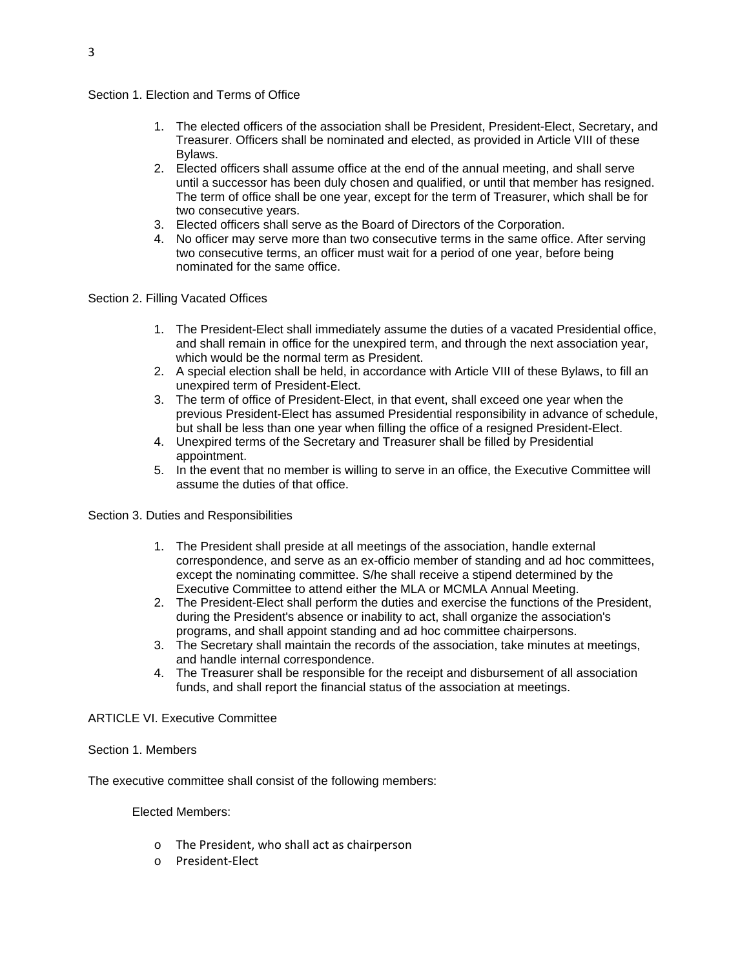## Section 1. Election and Terms of Office

- 1. The elected officers of the association shall be President, President-Elect, Secretary, and Treasurer. Officers shall be nominated and elected, as provided in Article VIII of these Bylaws.
- 2. Elected officers shall assume office at the end of the annual meeting, and shall serve until a successor has been duly chosen and qualified, or until that member has resigned. The term of office shall be one year, except for the term of Treasurer, which shall be for two consecutive years.
- 3. Elected officers shall serve as the Board of Directors of the Corporation.
- 4. No officer may serve more than two consecutive terms in the same office. After serving two consecutive terms, an officer must wait for a period of one year, before being nominated for the same office.

Section 2. Filling Vacated Offices

- 1. The President-Elect shall immediately assume the duties of a vacated Presidential office, and shall remain in office for the unexpired term, and through the next association year, which would be the normal term as President.
- 2. A special election shall be held, in accordance with Article VIII of these Bylaws, to fill an unexpired term of President-Elect.
- 3. The term of office of President-Elect, in that event, shall exceed one year when the previous President-Elect has assumed Presidential responsibility in advance of schedule, but shall be less than one year when filling the office of a resigned President-Elect.
- 4. Unexpired terms of the Secretary and Treasurer shall be filled by Presidential appointment.
- 5. In the event that no member is willing to serve in an office, the Executive Committee will assume the duties of that office.

Section 3. Duties and Responsibilities

- 1. The President shall preside at all meetings of the association, handle external correspondence, and serve as an ex-officio member of standing and ad hoc committees, except the nominating committee. S/he shall receive a stipend determined by the Executive Committee to attend either the MLA or MCMLA Annual Meeting.
- 2. The President-Elect shall perform the duties and exercise the functions of the President, during the President's absence or inability to act, shall organize the association's programs, and shall appoint standing and ad hoc committee chairpersons.
- 3. The Secretary shall maintain the records of the association, take minutes at meetings, and handle internal correspondence.
- 4. The Treasurer shall be responsible for the receipt and disbursement of all association funds, and shall report the financial status of the association at meetings.

#### ARTICLE VI. Executive Committee

## Section 1. Members

The executive committee shall consist of the following members:

Elected Members:

- o The President, who shall act as chairperson
- o President‐Elect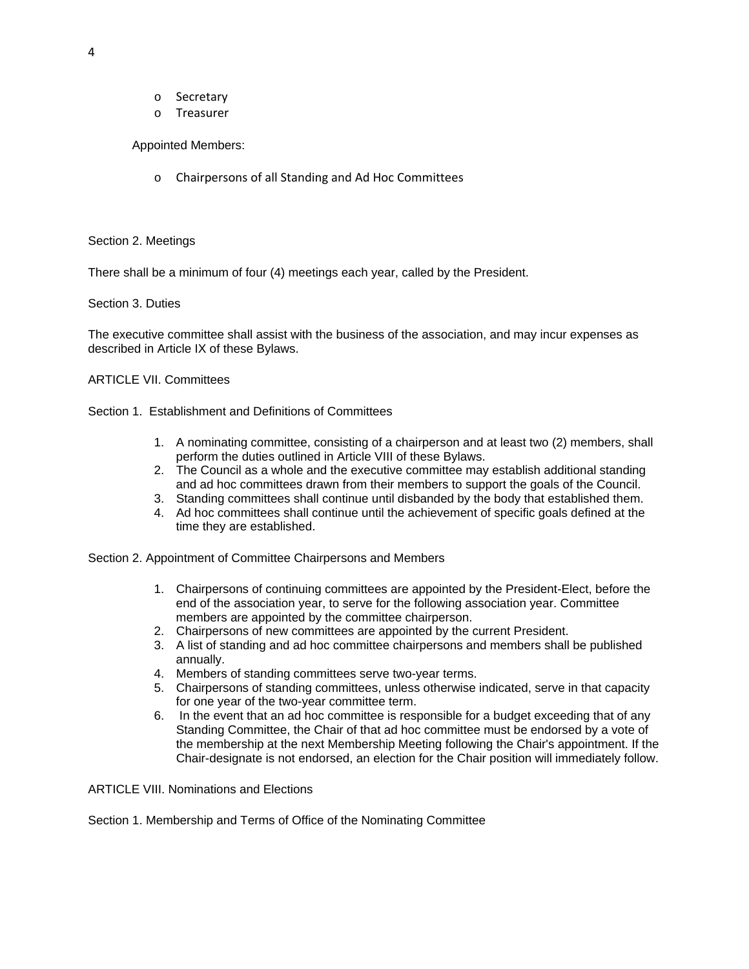- o Secretary
- o Treasurer

Appointed Members:

o Chairpersons of all Standing and Ad Hoc Committees

## Section 2. Meetings

There shall be a minimum of four (4) meetings each year, called by the President.

## Section 3. Duties

The executive committee shall assist with the business of the association, and may incur expenses as described in Article IX of these Bylaws.

## ARTICLE VII. Committees

Section 1. Establishment and Definitions of Committees

- 1. A nominating committee, consisting of a chairperson and at least two (2) members, shall perform the duties outlined in Article VIII of these Bylaws.
- 2. The Council as a whole and the executive committee may establish additional standing and ad hoc committees drawn from their members to support the goals of the Council.
- 3. Standing committees shall continue until disbanded by the body that established them.
- 4. Ad hoc committees shall continue until the achievement of specific goals defined at the time they are established.

Section 2. Appointment of Committee Chairpersons and Members

- 1. Chairpersons of continuing committees are appointed by the President-Elect, before the end of the association year, to serve for the following association year. Committee members are appointed by the committee chairperson.
- 2. Chairpersons of new committees are appointed by the current President.
- 3. A list of standing and ad hoc committee chairpersons and members shall be published annually.
- 4. Members of standing committees serve two-year terms.
- 5. Chairpersons of standing committees, unless otherwise indicated, serve in that capacity for one year of the two-year committee term.
- 6. In the event that an ad hoc committee is responsible for a budget exceeding that of any Standing Committee, the Chair of that ad hoc committee must be endorsed by a vote of the membership at the next Membership Meeting following the Chair's appointment. If the Chair-designate is not endorsed, an election for the Chair position will immediately follow.

ARTICLE VIII. Nominations and Elections

Section 1. Membership and Terms of Office of the Nominating Committee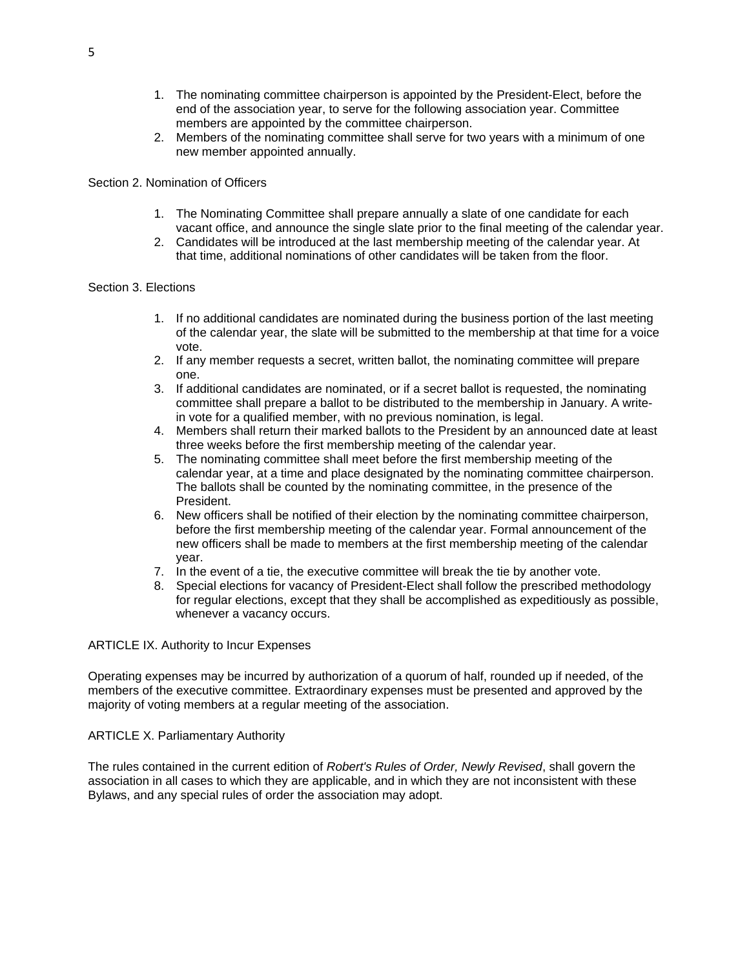- 1. The nominating committee chairperson is appointed by the President-Elect, before the end of the association year, to serve for the following association year. Committee members are appointed by the committee chairperson.
- 2. Members of the nominating committee shall serve for two years with a minimum of one new member appointed annually.

#### Section 2. Nomination of Officers

- 1. The Nominating Committee shall prepare annually a slate of one candidate for each vacant office, and announce the single slate prior to the final meeting of the calendar year.
- 2. Candidates will be introduced at the last membership meeting of the calendar year. At that time, additional nominations of other candidates will be taken from the floor.

#### Section 3. Elections

- 1. If no additional candidates are nominated during the business portion of the last meeting of the calendar year, the slate will be submitted to the membership at that time for a voice vote.
- 2. If any member requests a secret, written ballot, the nominating committee will prepare one.
- 3. If additional candidates are nominated, or if a secret ballot is requested, the nominating committee shall prepare a ballot to be distributed to the membership in January. A writein vote for a qualified member, with no previous nomination, is legal.
- 4. Members shall return their marked ballots to the President by an announced date at least three weeks before the first membership meeting of the calendar year.
- 5. The nominating committee shall meet before the first membership meeting of the calendar year, at a time and place designated by the nominating committee chairperson. The ballots shall be counted by the nominating committee, in the presence of the President.
- 6. New officers shall be notified of their election by the nominating committee chairperson, before the first membership meeting of the calendar year. Formal announcement of the new officers shall be made to members at the first membership meeting of the calendar year.
- 7. In the event of a tie, the executive committee will break the tie by another vote.
- 8. Special elections for vacancy of President-Elect shall follow the prescribed methodology for regular elections, except that they shall be accomplished as expeditiously as possible, whenever a vacancy occurs.

#### ARTICLE IX. Authority to Incur Expenses

Operating expenses may be incurred by authorization of a quorum of half, rounded up if needed, of the members of the executive committee. Extraordinary expenses must be presented and approved by the majority of voting members at a regular meeting of the association.

#### ARTICLE X. Parliamentary Authority

The rules contained in the current edition of *Robert's Rules of Order, Newly Revised*, shall govern the association in all cases to which they are applicable, and in which they are not inconsistent with these Bylaws, and any special rules of order the association may adopt.